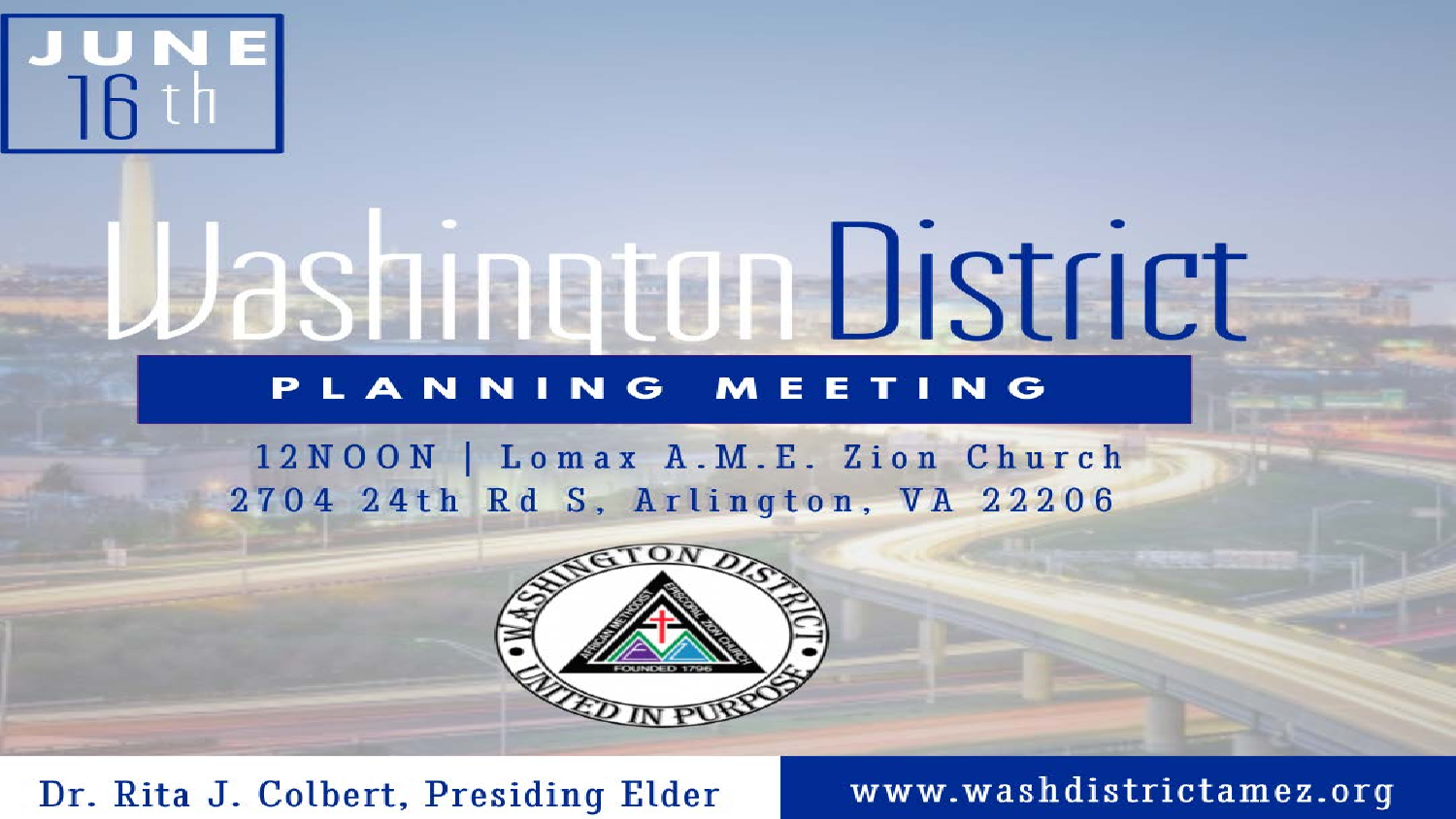

# Washington District

#### PLANNING MEETING

12NOON | Lomax A.M.E. Zion Church 2704 24th Rd S, Arlington, VA 22206



#### Dr. Rita J. Colbert, Presiding Elder

www.washdistrictamez.org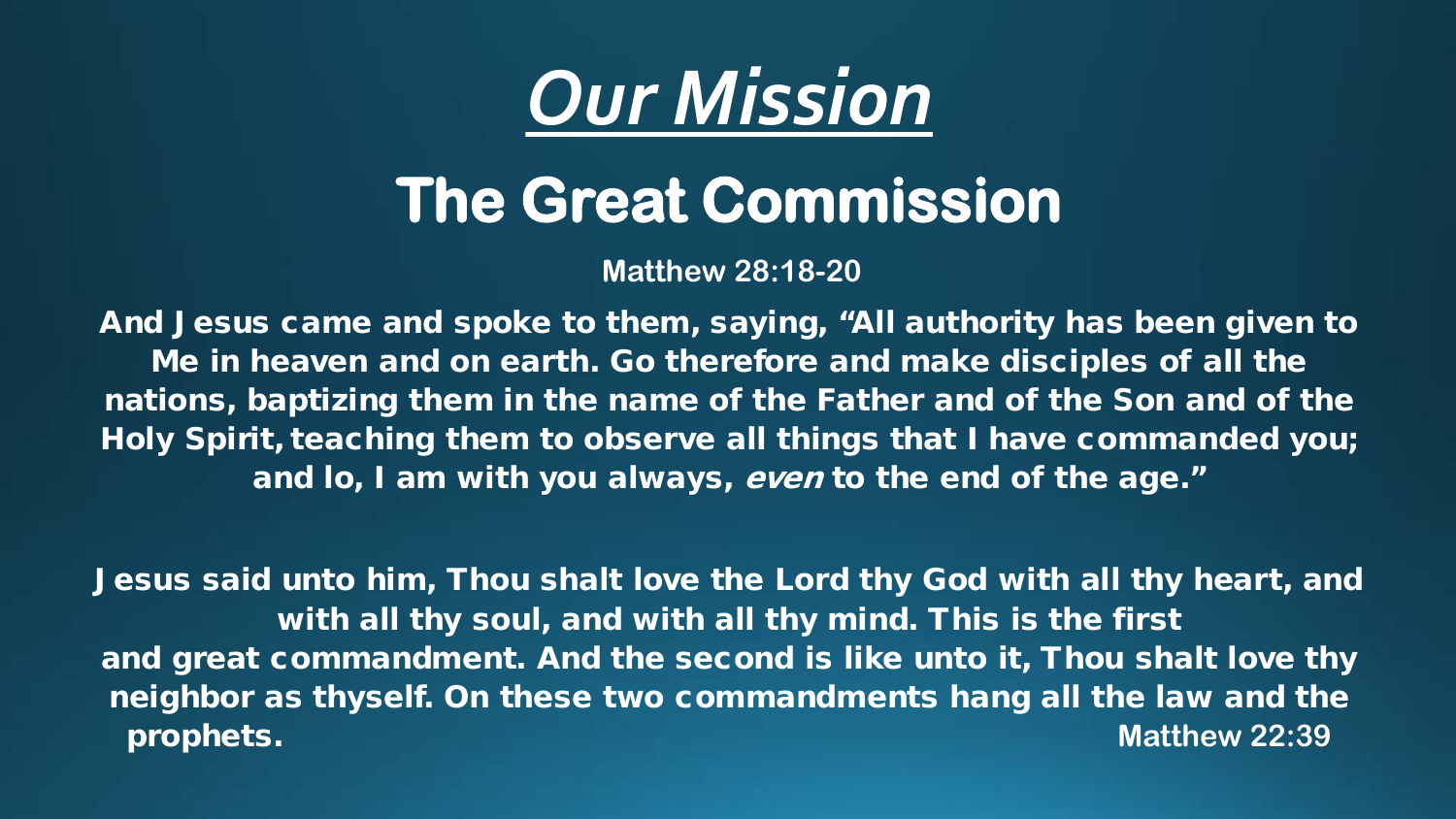

### **The Great Commission**

**Matthew 28:18-20**

And Jesus came and spoke to them, saying, "All authority has been given to Me in heaven and on earth. Go therefore and make disciples of all the nations, baptizing them in the name of the Father and of the Son and of the Holy Spirit, teaching them to observe all things that I have commanded you; and lo, I am with you always, even to the end of the age."

Jesus said unto him, Thou shalt love the Lord thy God with all thy heart, and with all thy soul, and with all thy mind. This is the first and great commandment. And the second is like unto it, Thou shalt love thy neighbor as thyself. On these two commandments hang all the law and the prophets. **Matthew 22:39**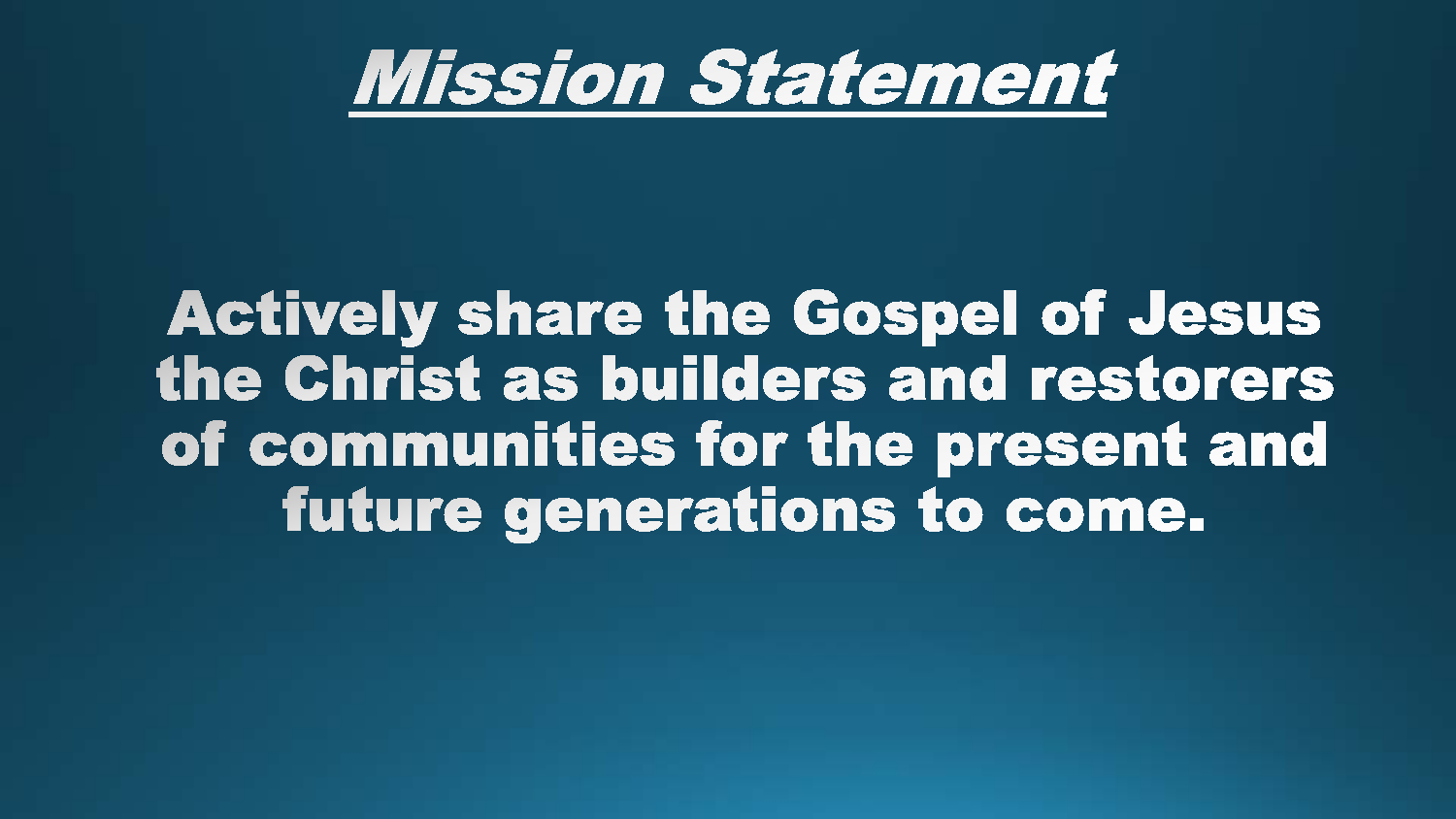

#### **Actively share the Gospel of Jesus** the Christ as builders and restorers of communities for the present and future generations to come.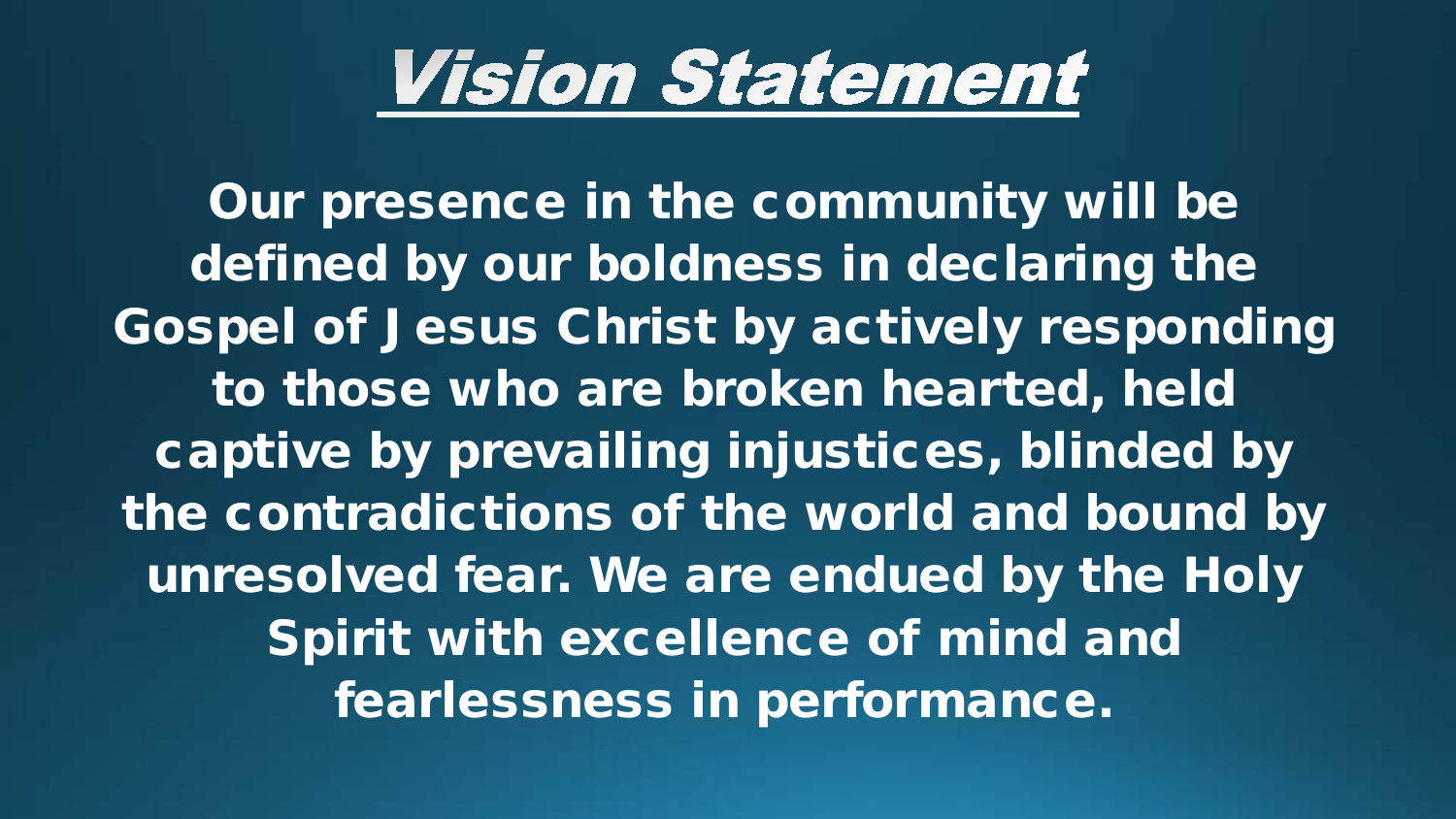## *Vision Statement*

Our presence in the community will be defined by our boldness in declaring the Gospel of Jesus Christ by actively responding to those who are broken hearted, held captive by prevailing injustices, blinded by the contradictions of the world and bound by unresolved fear. We are endued by the Holy Spirit with excellence of mind and fearlessness in performance.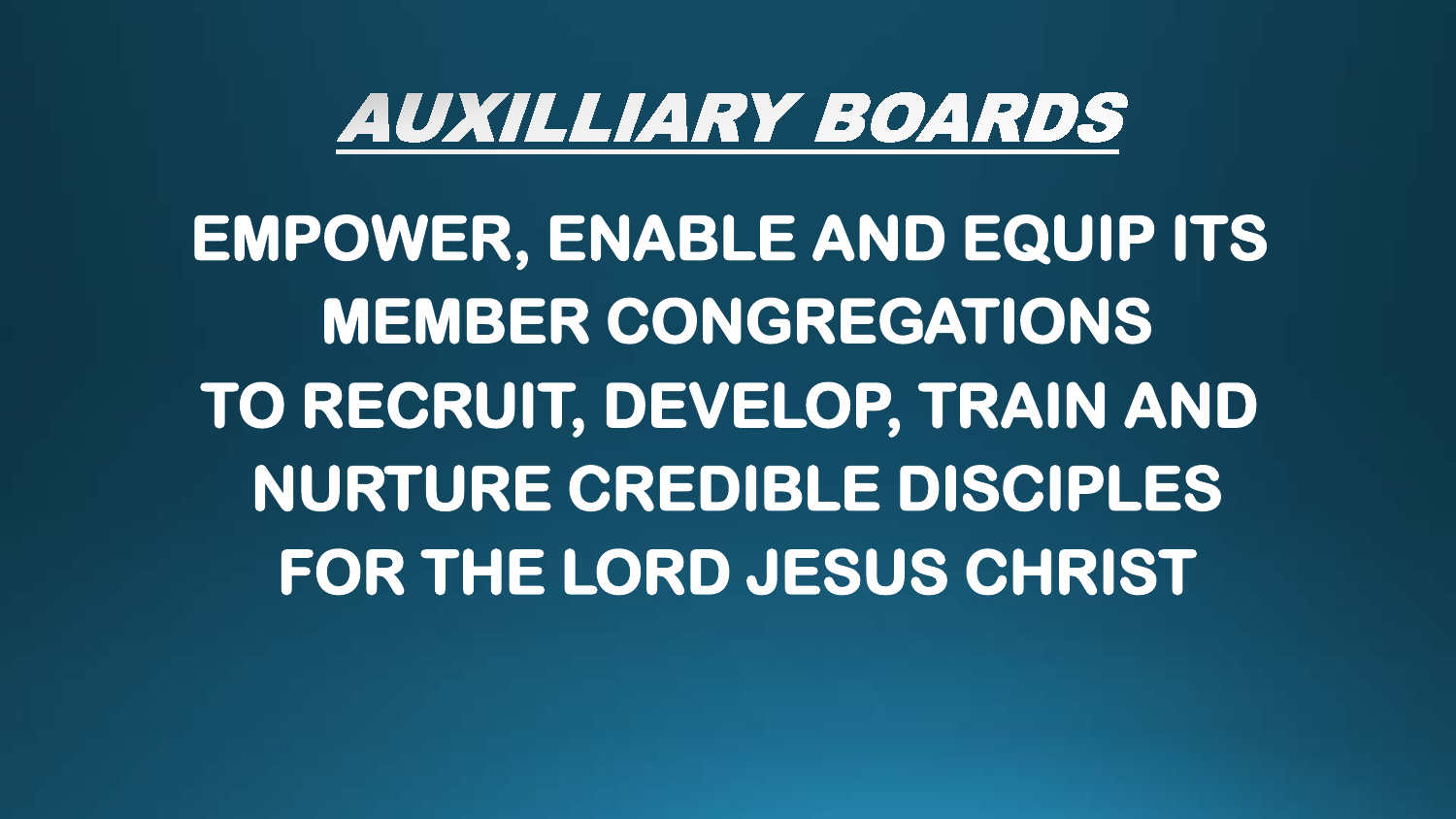## *AUXILLIARY BOARDS*

**EMPOWER, ENABLE AND EQUIP ITS MEMBER CONGREGATIONS TO RECRUIT, DEVELOP, TRAIN AND NURTURE CREDIBLE DISCIPLES FOR THE LORD JESUS CHRIST**